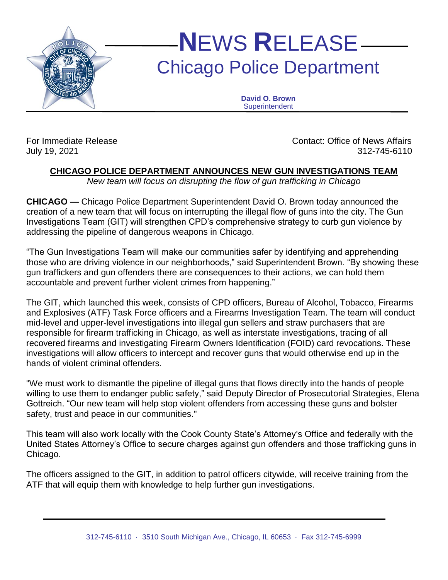

## **N**EWS **R**ELEASE Chicago Police Department

**David O. Brown Superintendent** 

For Immediate Release Contact: Office of News Affairs July 19, 2021 312-745-6110

## **CHICAGO POLICE DEPARTMENT ANNOUNCES NEW GUN INVESTIGATIONS TEAM**

*New team will focus on disrupting the flow of gun trafficking in Chicago*

**CHICAGO —** Chicago Police Department Superintendent David O. Brown today announced the creation of a new team that will focus on interrupting the illegal flow of guns into the city. The Gun Investigations Team (GIT) will strengthen CPD's comprehensive strategy to curb gun violence by addressing the pipeline of dangerous weapons in Chicago.

"The Gun Investigations Team will make our communities safer by identifying and apprehending those who are driving violence in our neighborhoods," said Superintendent Brown. "By showing these gun traffickers and gun offenders there are consequences to their actions, we can hold them accountable and prevent further violent crimes from happening."

The GIT, which launched this week, consists of CPD officers, Bureau of Alcohol, Tobacco, Firearms and Explosives (ATF) Task Force officers and a Firearms Investigation Team. The team will conduct mid-level and upper-level investigations into illegal gun sellers and straw purchasers that are responsible for firearm trafficking in Chicago, as well as interstate investigations, tracing of all recovered firearms and investigating Firearm Owners Identification (FOID) card revocations. These investigations will allow officers to intercept and recover guns that would otherwise end up in the hands of violent criminal offenders.

"We must work to dismantle the pipeline of illegal guns that flows directly into the hands of people willing to use them to endanger public safety," said Deputy Director of Prosecutorial Strategies, Elena Gottreich. "Our new team will help stop violent offenders from accessing these guns and bolster safety, trust and peace in our communities."

This team will also work locally with the Cook County State's Attorney's Office and federally with the United States Attorney's Office to secure charges against gun offenders and those trafficking guns in Chicago.

The officers assigned to the GIT, in addition to patrol officers citywide, will receive training from the ATF that will equip them with knowledge to help further gun investigations.